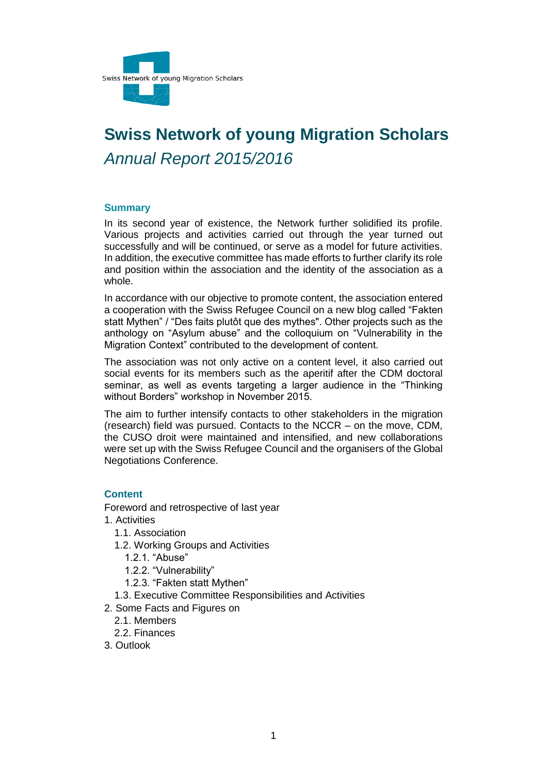

# **Swiss Network of young Migration Scholars** *Annual Report 2015/2016*

#### **Summary**

In its second year of existence, the Network further solidified its profile. Various projects and activities carried out through the year turned out successfully and will be continued, or serve as a model for future activities. In addition, the executive committee has made efforts to further clarify its role and position within the association and the identity of the association as a whole.

In accordance with our objective to promote content, the association entered a cooperation with the Swiss Refugee Council on a new blog called "Fakten statt Mythen" / "Des faits plutôt que des mythes". Other projects such as the anthology on "Asylum abuse" and the colloquium on "Vulnerability in the Migration Context" contributed to the development of content.

The association was not only active on a content level, it also carried out social events for its members such as the aperitif after the CDM doctoral seminar, as well as events targeting a larger audience in the "Thinking without Borders" workshop in November 2015.

The aim to further intensify contacts to other stakeholders in the migration (research) field was pursued. Contacts to the NCCR – on the move, CDM, the CUSO droit were maintained and intensified, and new collaborations were set up with the Swiss Refugee Council and the organisers of the Global Negotiations Conference.

## **Content**

Foreword and retrospective of last year

- 1. Activities
	- 1.1. Association
	- 1.2. Working Groups and Activities
		- 1.2.1. "Abuse"
		- 1.2.2. "Vulnerability"
		- 1.2.3. "Fakten statt Mythen"
	- 1.3. Executive Committee Responsibilities and Activities
- 2. Some Facts and Figures on
	- 2.1. Members
	- 2.2. Finances
- 3. Outlook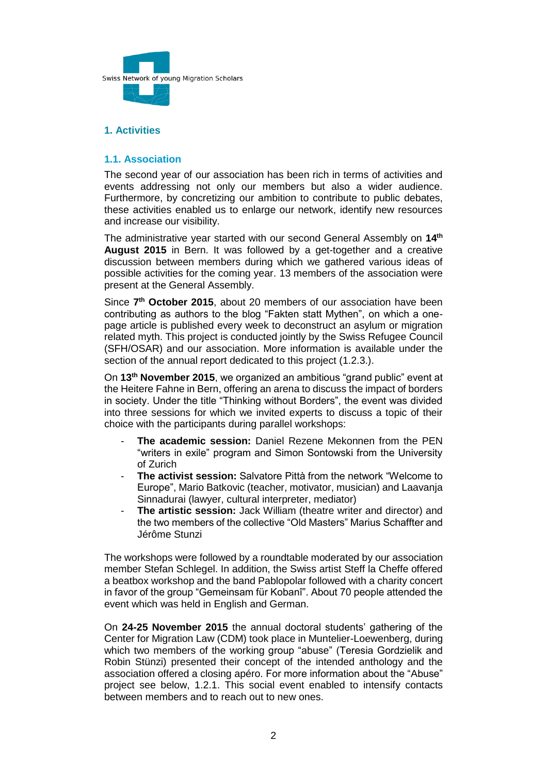

# **1. Activities**

## **1.1. Association**

The second year of our association has been rich in terms of activities and events addressing not only our members but also a wider audience. Furthermore, by concretizing our ambition to contribute to public debates, these activities enabled us to enlarge our network, identify new resources and increase our visibility.

The administrative year started with our second General Assembly on **14th August 2015** in Bern. It was followed by a get-together and a creative discussion between members during which we gathered various ideas of possible activities for the coming year. 13 members of the association were present at the General Assembly.

Since **7 th October 2015**, about 20 members of our association have been contributing as authors to the blog "Fakten statt Mythen", on which a onepage article is published every week to deconstruct an asylum or migration related myth. This project is conducted jointly by the Swiss Refugee Council (SFH/OSAR) and our association. More information is available under the section of the annual report dedicated to this project (1.2.3.).

On **13th November 2015**, we organized an ambitious "grand public" event at the Heitere Fahne in Bern, offering an arena to discuss the impact of borders in society. Under the title "Thinking without Borders", the event was divided into three sessions for which we invited experts to discuss a topic of their choice with the participants during parallel workshops:

- The academic session: Daniel Rezene Mekonnen from the PEN "writers in exile" program and Simon Sontowski from the University of Zurich
- **The activist session:** Salvatore Pittà from the network "Welcome to Europe", Mario Batkovic (teacher, motivator, musician) and Laavanja Sinnadurai (lawyer, cultural interpreter, mediator)
- **The artistic session:** Jack William (theatre writer and director) and the two members of the collective "Old Masters" Marius Schaffter and Jérôme Stunzi

The workshops were followed by a roundtable moderated by our association member Stefan Schlegel. In addition, the Swiss artist Steff la Cheffe offered a beatbox workshop and the band Pablopolar followed with a charity concert in favor of the group "Gemeinsam für Kobanî". About 70 people attended the event which was held in English and German.

On **24-25 November 2015** the annual doctoral students' gathering of the Center for Migration Law (CDM) took place in Muntelier-Loewenberg, during which two members of the working group "abuse" (Teresia Gordzielik and Robin Stünzi) presented their concept of the intended anthology and the association offered a closing apéro. For more information about the "Abuse" project see below, 1.2.1. This social event enabled to intensify contacts between members and to reach out to new ones.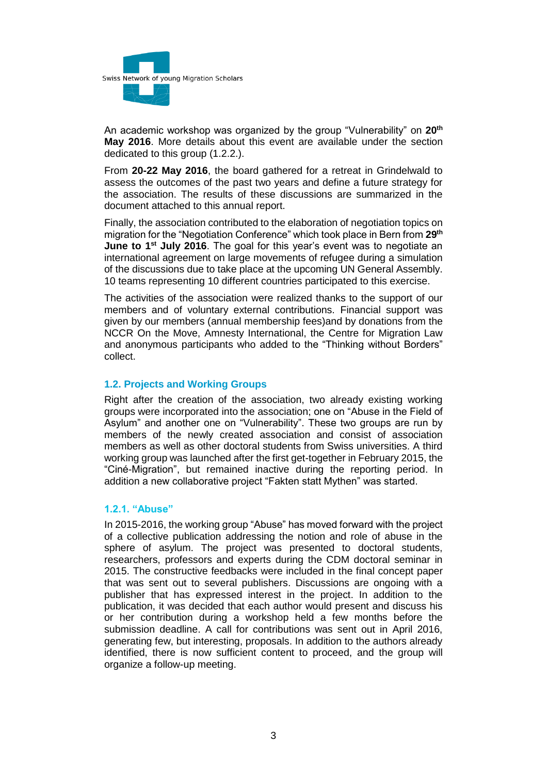

An academic workshop was organized by the group "Vulnerability" on **20th May 2016**. More details about this event are available under the section dedicated to this group (1.2.2.).

From **20-22 May 2016**, the board gathered for a retreat in Grindelwald to assess the outcomes of the past two years and define a future strategy for the association. The results of these discussions are summarized in the document attached to this annual report.

Finally, the association contributed to the elaboration of negotiation topics on migration for the "Negotiation Conference" which took place in Bern from **29th June to 1st July 2016**. The goal for this year's event was to negotiate an international agreement on large movements of refugee during a simulation of the discussions due to take place at the upcoming UN General Assembly. 10 teams representing 10 different countries participated to this exercise.

The activities of the association were realized thanks to the support of our members and of voluntary external contributions. Financial support was given by our members (annual membership fees)and by donations from the NCCR On the Move, Amnesty International, the Centre for Migration Law and anonymous participants who added to the "Thinking without Borders" collect.

#### **1.2. Projects and Working Groups**

Right after the creation of the association, two already existing working groups were incorporated into the association; one on "Abuse in the Field of Asylum" and another one on "Vulnerability". These two groups are run by members of the newly created association and consist of association members as well as other doctoral students from Swiss universities. A third working group was launched after the first get-together in February 2015, the "Ciné-Migration", but remained inactive during the reporting period. In addition a new collaborative project "Fakten statt Mythen" was started.

#### **1.2.1. "Abuse"**

In 2015-2016, the working group "Abuse" has moved forward with the project of a collective publication addressing the notion and role of abuse in the sphere of asylum. The project was presented to doctoral students, researchers, professors and experts during the CDM doctoral seminar in 2015. The constructive feedbacks were included in the final concept paper that was sent out to several publishers. Discussions are ongoing with a publisher that has expressed interest in the project. In addition to the publication, it was decided that each author would present and discuss his or her contribution during a workshop held a few months before the submission deadline. A call for contributions was sent out in April 2016, generating few, but interesting, proposals. In addition to the authors already identified, there is now sufficient content to proceed, and the group will organize a follow-up meeting.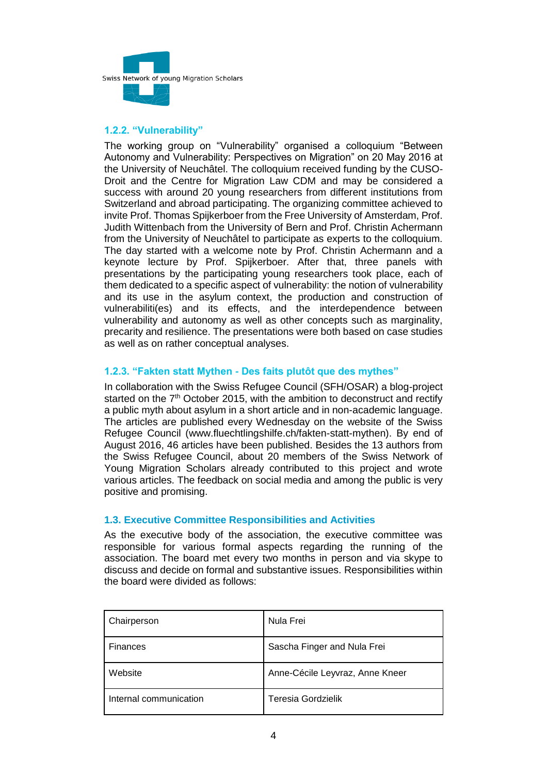

# **1.2.2. "Vulnerability"**

The working group on "Vulnerability" organised a colloquium "Between Autonomy and Vulnerability: Perspectives on Migration" on 20 May 2016 at the University of Neuchâtel. The colloquium received funding by the CUSO-Droit and the Centre for Migration Law CDM and may be considered a success with around 20 young researchers from different institutions from Switzerland and abroad participating. The organizing committee achieved to invite Prof. Thomas Spijkerboer from the Free University of Amsterdam, Prof. Judith Wittenbach from the University of Bern and Prof. Christin Achermann from the University of Neuchâtel to participate as experts to the colloquium. The day started with a welcome note by Prof. Christin Achermann and a keynote lecture by Prof. Spijkerboer. After that, three panels with presentations by the participating young researchers took place, each of them dedicated to a specific aspect of vulnerability: the notion of vulnerability and its use in the asylum context, the production and construction of vulnerabiliti(es) and its effects, and the interdependence between vulnerability and autonomy as well as other concepts such as marginality, precarity and resilience. The presentations were both based on case studies as well as on rather conceptual analyses.

## **1.2.3. "Fakten statt Mythen - Des faits plutôt que des mythes"**

In collaboration with the Swiss Refugee Council (SFH/OSAR) a blog-project started on the  $7<sup>th</sup>$  October 2015, with the ambition to deconstruct and rectify a public myth about asylum in a short article and in non-academic language. The articles are published every Wednesday on the website of the Swiss Refugee Council (www.fluechtlingshilfe.ch/fakten-statt-mythen). By end of August 2016, 46 articles have been published. Besides the 13 authors from the Swiss Refugee Council, about 20 members of the Swiss Network of Young Migration Scholars already contributed to this project and wrote various articles. The feedback on social media and among the public is very positive and promising.

## **1.3. Executive Committee Responsibilities and Activities**

As the executive body of the association, the executive committee was responsible for various formal aspects regarding the running of the association. The board met every two months in person and via skype to discuss and decide on formal and substantive issues. Responsibilities within the board were divided as follows:

| Chairperson            | Nula Frei                       |  |
|------------------------|---------------------------------|--|
| Finances               | Sascha Finger and Nula Frei     |  |
| Website                | Anne-Cécile Leyvraz, Anne Kneer |  |
| Internal communication | Teresia Gordzielik              |  |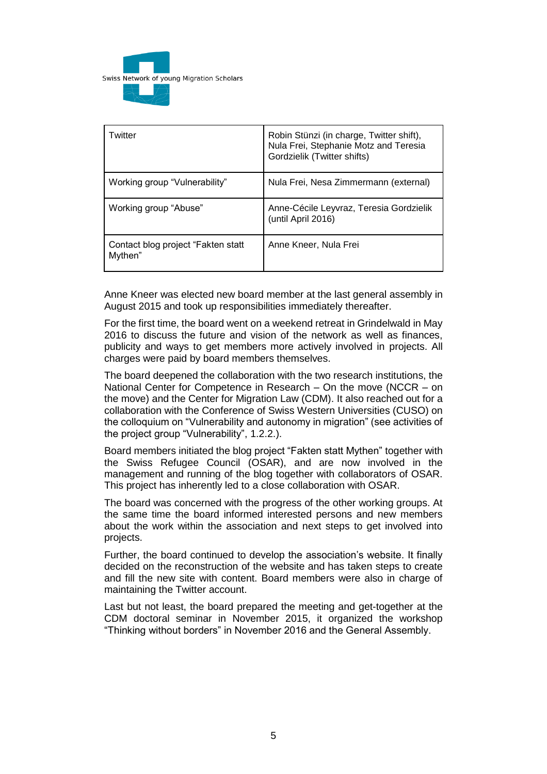

| Twitter                                        | Robin Stünzi (in charge, Twitter shift),<br>Nula Frei, Stephanie Motz and Teresia<br>Gordzielik (Twitter shifts) |  |
|------------------------------------------------|------------------------------------------------------------------------------------------------------------------|--|
| Working group "Vulnerability"                  | Nula Frei, Nesa Zimmermann (external)                                                                            |  |
| Working group "Abuse"                          | Anne-Cécile Leyvraz, Teresia Gordzielik<br>(until April 2016)                                                    |  |
| Contact blog project "Fakten statt"<br>Mythen" | Anne Kneer, Nula Frei                                                                                            |  |

Anne Kneer was elected new board member at the last general assembly in August 2015 and took up responsibilities immediately thereafter.

For the first time, the board went on a weekend retreat in Grindelwald in May 2016 to discuss the future and vision of the network as well as finances, publicity and ways to get members more actively involved in projects. All charges were paid by board members themselves.

The board deepened the collaboration with the two research institutions, the National Center for Competence in Research – On the move (NCCR – on the move) and the Center for Migration Law (CDM). It also reached out for a collaboration with the Conference of Swiss Western Universities (CUSO) on the colloquium on "Vulnerability and autonomy in migration" (see activities of the project group "Vulnerability", 1.2.2.).

Board members initiated the blog project "Fakten statt Mythen" together with the Swiss Refugee Council (OSAR), and are now involved in the management and running of the blog together with collaborators of OSAR. This project has inherently led to a close collaboration with OSAR.

The board was concerned with the progress of the other working groups. At the same time the board informed interested persons and new members about the work within the association and next steps to get involved into projects.

Further, the board continued to develop the association's website. It finally decided on the reconstruction of the website and has taken steps to create and fill the new site with content. Board members were also in charge of maintaining the Twitter account.

Last but not least, the board prepared the meeting and get-together at the CDM doctoral seminar in November 2015, it organized the workshop "Thinking without borders" in November 2016 and the General Assembly.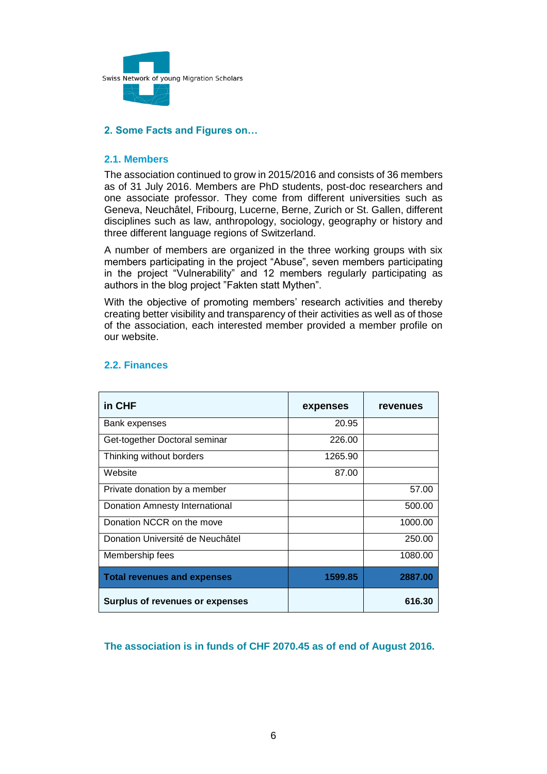

# **2. Some Facts and Figures on…**

### **2.1. Members**

The association continued to grow in 2015/2016 and consists of 36 members as of 31 July 2016. Members are PhD students, post-doc researchers and one associate professor. They come from different universities such as Geneva, Neuchâtel, Fribourg, Lucerne, Berne, Zurich or St. Gallen, different disciplines such as law, anthropology, sociology, geography or history and three different language regions of Switzerland.

A number of members are organized in the three working groups with six members participating in the project "Abuse", seven members participating in the project "Vulnerability" and 12 members regularly participating as authors in the blog project "Fakten statt Mythen".

With the objective of promoting members' research activities and thereby creating better visibility and transparency of their activities as well as of those of the association, each interested member provided a member profile on our website.

| in CHF                                 | expenses | revenues |
|----------------------------------------|----------|----------|
| Bank expenses                          | 20.95    |          |
| Get-together Doctoral seminar          | 226.00   |          |
| Thinking without borders               | 1265.90  |          |
| Website                                | 87.00    |          |
| Private donation by a member           |          | 57.00    |
| Donation Amnesty International         |          | 500.00   |
| Donation NCCR on the move              |          | 1000.00  |
| Donation Université de Neuchâtel       |          | 250.00   |
| Membership fees                        |          | 1080.00  |
| <b>Total revenues and expenses</b>     | 1599.85  | 2887.00  |
| <b>Surplus of revenues or expenses</b> |          | 616.30   |

## **2.2. Finances**

**The association is in funds of CHF 2070.45 as of end of August 2016.**